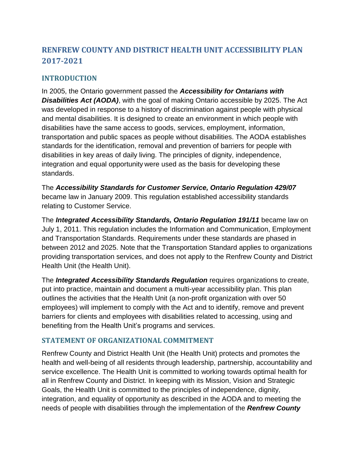# **RENFREW COUNTY AND DISTRICT HEALTH UNIT ACCESSIBILITY PLAN 2017-2021**

## **INTRODUCTION**

In 2005, the Ontario government passed the *Accessibility for Ontarians with*  **Disabilities Act (AODA)**, with the goal of making Ontario accessible by 2025. The Act was developed in response to a history of discrimination against people with physical and mental disabilities. It is designed to create an environment in which people with disabilities have the same access to goods, services, employment, information, transportation and public spaces as people without disabilities. The AODA establishes standards for the identification, removal and prevention of barriers for people with disabilities in key areas of daily living. The principles of dignity, independence, integration and equal opportunity were used as the basis for developing these standards.

The *Accessibility Standards for Customer Service, Ontario Regulation 429/07* became law in January 2009. This regulation established accessibility standards relating to Customer Service.

The *Integrated Accessibility Standards, Ontario Regulation 191/11* became law on July 1, 2011. This regulation includes the Information and Communication, Employment and Transportation Standards. Requirements under these standards are phased in between 2012 and 2025. Note that the Transportation Standard applies to organizations providing transportation services, and does not apply to the Renfrew County and District Health Unit (the Health Unit).

The *Integrated Accessibility Standards Regulation* requires organizations to create, put into practice, maintain and document a multi-year accessibility plan. This plan outlines the activities that the Health Unit (a non-profit organization with over 50 employees) will implement to comply with the Act and to identify, remove and prevent barriers for clients and employees with disabilities related to accessing, using and benefiting from the Health Unit's programs and services.

## **STATEMENT OF ORGANIZATIONAL COMMITMENT**

Renfrew County and District Health Unit (the Health Unit) protects and promotes the health and well-being of all residents through leadership, partnership, accountability and service excellence. The Health Unit is committed to working towards optimal health for all in Renfrew County and District. In keeping with its Mission, Vision and Strategic Goals, the Health Unit is committed to the principles of independence, dignity, integration, and equality of opportunity as described in the AODA and to meeting the needs of people with disabilities through the implementation of the *Renfrew County*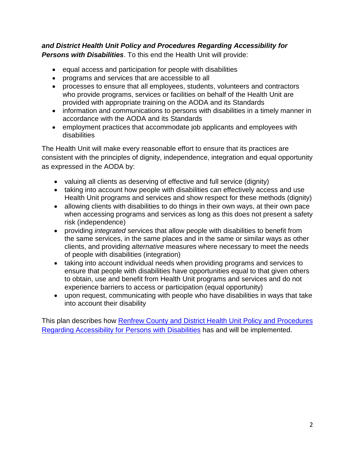### *and District Health Unit Policy and Procedures Regarding Accessibility for Persons with Disabilities*. To this end the Health Unit will provide:

- equal access and participation for people with disabilities
- programs and services that are accessible to all
- processes to ensure that all employees, students, volunteers and contractors who provide programs, services or facilities on behalf of the Health Unit are provided with appropriate training on the AODA and its Standards
- information and communications to persons with disabilities in a timely manner in accordance with the AODA and its Standards
- employment practices that accommodate job applicants and employees with disabilities

The Health Unit will make every reasonable effort to ensure that its practices are consistent with the principles of dignity, independence, integration and equal opportunity as expressed in the AODA by:

- valuing all clients as deserving of effective and full service (dignity)
- taking into account how people with disabilities can effectively access and use Health Unit programs and services and show respect for these methods (dignity)
- allowing clients with disabilities to do things in their own ways, at their own pace when accessing programs and services as long as this does not present a safety risk (independence)
- providing *integrated* services that allow people with disabilities to benefit from the same services, in the same places and in the same or similar ways as other clients, and providing *alternative* measures where necessary to meet the needs of people with disabilities (integration)
- taking into account individual needs when providing programs and services to ensure that people with disabilities have opportunities equal to that given others to obtain, use and benefit from Health Unit programs and services and do not experience barriers to access or participation (equal opportunity)
- upon request, communicating with people who have disabilities in ways that take into account their disability

This plan describes how Renfrew County and District Health Unit Policy and Procedures [Regarding Accessibility for Persons with Disabilities](http://rcdhu.com/wp-content/uploads/2017/03/Accessibility-Policy-RCDHU.pdf) has and will be implemented.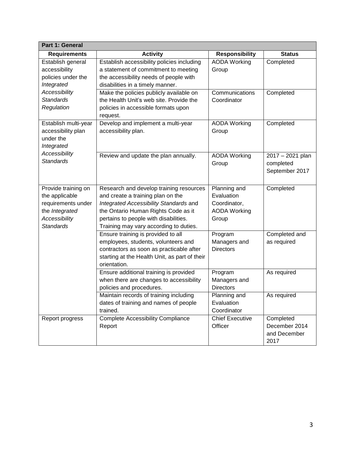| <b>Part 1: General</b>                                                                                             |                                                                                                                                                                                                                                                  |                                                                            |                                                    |
|--------------------------------------------------------------------------------------------------------------------|--------------------------------------------------------------------------------------------------------------------------------------------------------------------------------------------------------------------------------------------------|----------------------------------------------------------------------------|----------------------------------------------------|
| <b>Requirements</b>                                                                                                | <b>Activity</b>                                                                                                                                                                                                                                  | <b>Responsibility</b>                                                      | <b>Status</b>                                      |
| Establish general<br>accessibility<br>policies under the<br>Integrated                                             | Establish accessibility policies including<br>a statement of commitment to meeting<br>the accessibility needs of people with<br>disabilities in a timely manner.                                                                                 | <b>AODA Working</b><br>Group                                               | Completed                                          |
| Accessibility<br><b>Standards</b><br>Regulation                                                                    | Make the policies publicly available on<br>the Health Unit's web site. Provide the<br>policies in accessible formats upon<br>request.                                                                                                            | Communications<br>Coordinator                                              | Completed                                          |
| Establish multi-year<br>accessibility plan<br>under the<br>Integrated                                              | Develop and implement a multi-year<br>accessibility plan.                                                                                                                                                                                        | <b>AODA</b> Working<br>Group                                               | Completed                                          |
| Accessibility<br>Standards                                                                                         | Review and update the plan annually.                                                                                                                                                                                                             | <b>AODA Working</b><br>Group                                               | 2017 - 2021 plan<br>completed<br>September 2017    |
| Provide training on<br>the applicable<br>requirements under<br>the Integrated<br>Accessibility<br><b>Standards</b> | Research and develop training resources<br>and create a training plan on the<br>Integrated Accessibility Standards and<br>the Ontario Human Rights Code as it<br>pertains to people with disabilities.<br>Training may vary according to duties. | Planning and<br>Evaluation<br>Coordinator,<br><b>AODA Working</b><br>Group | Completed                                          |
|                                                                                                                    | Ensure training is provided to all<br>employees, students, volunteers and<br>contractors as soon as practicable after<br>starting at the Health Unit, as part of their<br>orientation.                                                           | Program<br>Managers and<br><b>Directors</b>                                | Completed and<br>as required                       |
|                                                                                                                    | Ensure additional training is provided<br>when there are changes to accessibility<br>policies and procedures.                                                                                                                                    | Program<br>Managers and<br><b>Directors</b>                                | As required                                        |
|                                                                                                                    | Maintain records of training including<br>dates of training and names of people<br>trained.                                                                                                                                                      | Planning and<br>Evaluation<br>Coordinator                                  | As required                                        |
| Report progress                                                                                                    | <b>Complete Accessibility Compliance</b><br>Report                                                                                                                                                                                               | <b>Chief Executive</b><br>Officer                                          | Completed<br>December 2014<br>and December<br>2017 |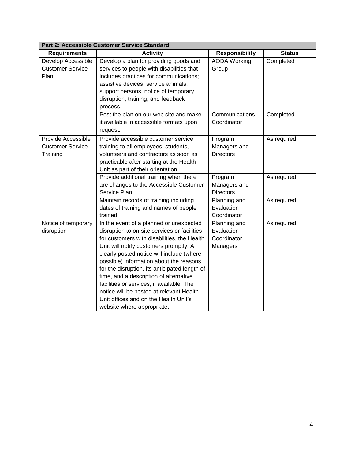| Part 2: Accessible Customer Service Standard              |                                                                                                                                                                                                                                                                                                                                                                                                                                                                                                                                     |                                                        |               |
|-----------------------------------------------------------|-------------------------------------------------------------------------------------------------------------------------------------------------------------------------------------------------------------------------------------------------------------------------------------------------------------------------------------------------------------------------------------------------------------------------------------------------------------------------------------------------------------------------------------|--------------------------------------------------------|---------------|
| <b>Requirements</b>                                       | <b>Activity</b>                                                                                                                                                                                                                                                                                                                                                                                                                                                                                                                     | <b>Responsibility</b>                                  | <b>Status</b> |
| Develop Accessible<br><b>Customer Service</b><br>Plan     | Develop a plan for providing goods and<br>services to people with disabilities that<br>includes practices for communications;<br>assistive devices, service animals,<br>support persons, notice of temporary<br>disruption; training; and feedback<br>process.                                                                                                                                                                                                                                                                      | <b>AODA Working</b><br>Group                           | Completed     |
|                                                           | Post the plan on our web site and make<br>it available in accessible formats upon<br>request.                                                                                                                                                                                                                                                                                                                                                                                                                                       | Communications<br>Coordinator                          | Completed     |
| Provide Accessible<br><b>Customer Service</b><br>Training | Provide accessible customer service<br>training to all employees, students,<br>volunteers and contractors as soon as<br>practicable after starting at the Health<br>Unit as part of their orientation.                                                                                                                                                                                                                                                                                                                              | Program<br>Managers and<br><b>Directors</b>            | As required   |
|                                                           | Provide additional training when there<br>are changes to the Accessible Customer<br>Service Plan.                                                                                                                                                                                                                                                                                                                                                                                                                                   | Program<br>Managers and<br><b>Directors</b>            | As required   |
|                                                           | Maintain records of training including<br>dates of training and names of people<br>trained.                                                                                                                                                                                                                                                                                                                                                                                                                                         | Planning and<br>Evaluation<br>Coordinator              | As required   |
| Notice of temporary<br>disruption                         | In the event of a planned or unexpected<br>disruption to on-site services or facilities<br>for customers with disabilities, the Health<br>Unit will notify customers promptly. A<br>clearly posted notice will include (where<br>possible) information about the reasons<br>for the disruption, its anticipated length of<br>time, and a description of alternative<br>facilities or services, if available. The<br>notice will be posted at relevant Health<br>Unit offices and on the Health Unit's<br>website where appropriate. | Planning and<br>Evaluation<br>Coordinator,<br>Managers | As required   |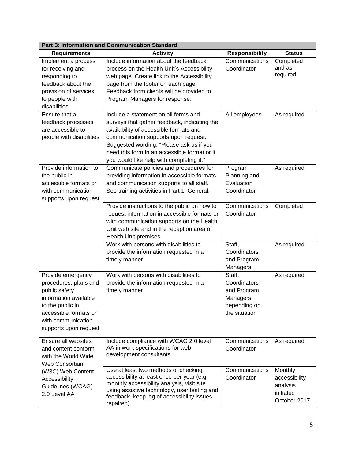| <b>Part 3: Information and Communication Standard</b>                                                                                                                                                                                |                                                                                                                                                                                                                                                                                                                                                                                                                                   |                                                                                    |                                                                   |
|--------------------------------------------------------------------------------------------------------------------------------------------------------------------------------------------------------------------------------------|-----------------------------------------------------------------------------------------------------------------------------------------------------------------------------------------------------------------------------------------------------------------------------------------------------------------------------------------------------------------------------------------------------------------------------------|------------------------------------------------------------------------------------|-------------------------------------------------------------------|
| <b>Requirements</b>                                                                                                                                                                                                                  | <b>Activity</b>                                                                                                                                                                                                                                                                                                                                                                                                                   | <b>Responsibility</b>                                                              | <b>Status</b>                                                     |
| Implement a process<br>for receiving and<br>responding to<br>feedback about the<br>provision of services<br>to people with<br>disabilities<br>Ensure that all<br>feedback processes<br>are accessible to<br>people with disabilities | Include information about the feedback<br>process on the Health Unit's Accessibility<br>web page. Create link to the Accessibility<br>page from the footer on each page.<br>Feedback from clients will be provided to<br>Program Managers for response.<br>Include a statement on all forms and<br>surveys that gather feedback, indicating the<br>availability of accessible formats and<br>communication supports upon request. | Communications<br>Coordinator<br>All employees                                     | Completed<br>and as<br>required<br>As required                    |
|                                                                                                                                                                                                                                      | Suggested wording: "Please ask us if you<br>need this form in an accessible format or if<br>you would like help with completing it."                                                                                                                                                                                                                                                                                              |                                                                                    |                                                                   |
| Provide information to<br>the public in<br>accessible formats or<br>with communication<br>supports upon request                                                                                                                      | Communicate policies and procedures for<br>providing information in accessible formats<br>and communication supports to all staff.<br>See training activities in Part 1: General.                                                                                                                                                                                                                                                 | Program<br>Planning and<br>Evaluation<br>Coordinator                               | As required                                                       |
|                                                                                                                                                                                                                                      | Provide instructions to the public on how to<br>request information in accessible formats or<br>with communication supports on the Health<br>Unit web site and in the reception area of<br>Health Unit premises.                                                                                                                                                                                                                  | Communications<br>Coordinator                                                      | Completed                                                         |
|                                                                                                                                                                                                                                      | Work with persons with disabilities to<br>provide the information requested in a<br>timely manner.                                                                                                                                                                                                                                                                                                                                | Staff,<br>Coordinators<br>and Program<br>Managers                                  | As required                                                       |
| Provide emergency<br>procedures, plans and<br>public safety<br>information available<br>to the public in<br>accessible formats or<br>with communication<br>supports upon request                                                     | Work with persons with disabilities to<br>provide the information requested in a<br>timely manner.                                                                                                                                                                                                                                                                                                                                | Staff,<br>Coordinators<br>and Program<br>Managers<br>depending on<br>the situation | As required                                                       |
| Ensure all websites<br>and content conform<br>with the World Wide<br><b>Web Consortium</b>                                                                                                                                           | Include compliance with WCAG 2.0 level<br>AA in work specifications for web<br>development consultants.                                                                                                                                                                                                                                                                                                                           | Communications<br>Coordinator                                                      | As required                                                       |
| (W3C) Web Content<br>Accessibility<br>Guidelines (WCAG)<br>2.0 Level AA                                                                                                                                                              | Use at least two methods of checking<br>accessibility at least once per year (e.g.<br>monthly accessibility analysis, visit site<br>using assistive technology, user testing and<br>feedback, keep log of accessibility issues<br>repaired).                                                                                                                                                                                      | Communications<br>Coordinator                                                      | Monthly<br>accessibility<br>analysis<br>initiated<br>October 2017 |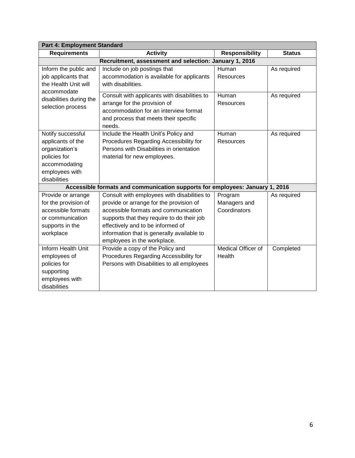| Part 4: Employment Standard                                                                                                 |                                                                                                                                                                                                                                                                                                |                                         |               |
|-----------------------------------------------------------------------------------------------------------------------------|------------------------------------------------------------------------------------------------------------------------------------------------------------------------------------------------------------------------------------------------------------------------------------------------|-----------------------------------------|---------------|
| <b>Requirements</b>                                                                                                         | <b>Activity</b>                                                                                                                                                                                                                                                                                | <b>Responsibility</b>                   | <b>Status</b> |
|                                                                                                                             | Recruitment, assessment and selection: January 1, 2016                                                                                                                                                                                                                                         |                                         |               |
| Inform the public and<br>job applicants that<br>the Health Unit will                                                        | Include on job postings that<br>accommodation is available for applicants<br>with disabilities.                                                                                                                                                                                                | Human<br>Resources                      | As required   |
| accommodate<br>disabilities during the<br>selection process                                                                 | Consult with applicants with disabilities to<br>arrange for the provision of<br>accommodation for an interview format<br>and process that meets their specific<br>needs.                                                                                                                       | Human<br>Resources                      | As required   |
| Notify successful<br>applicants of the<br>organization's<br>policies for<br>accommodating<br>employees with<br>disabilities | Include the Health Unit's Policy and<br>Procedures Regarding Accessibility for<br>Persons with Disabilities in orientation<br>material for new employees.                                                                                                                                      | Human<br>Resources                      | As required   |
|                                                                                                                             | Accessible formats and communication supports for employees: January 1, 2016                                                                                                                                                                                                                   |                                         |               |
| Provide or arrange<br>for the provision of<br>accessible formats<br>or communication<br>supports in the<br>workplace        | Consult with employees with disabilities to<br>provide or arrange for the provision of<br>accessible formats and communication<br>supports that they require to do their job<br>effectively and to be informed of<br>information that is generally available to<br>employees in the workplace. | Program<br>Managers and<br>Coordinators | As required   |
| Inform Health Unit<br>employees of<br>policies for<br>supporting<br>employees with<br>disabilities                          | Provide a copy of the Policy and<br>Procedures Regarding Accessibility for<br>Persons with Disabilities to all employees                                                                                                                                                                       | Medical Officer of<br>Health            | Completed     |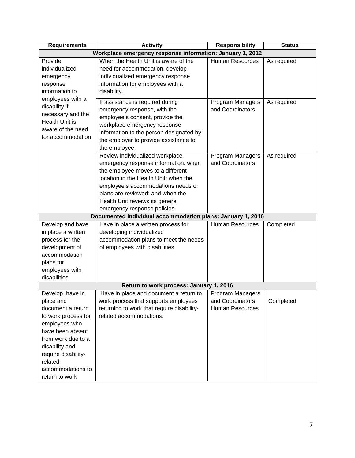| <b>Requirements</b>                                       | <b>Activity</b>                                            | <b>Responsibility</b>  | <b>Status</b> |
|-----------------------------------------------------------|------------------------------------------------------------|------------------------|---------------|
| Workplace emergency response information: January 1, 2012 |                                                            |                        |               |
| Provide                                                   | When the Health Unit is aware of the                       | <b>Human Resources</b> | As required   |
| individualized                                            | need for accommodation, develop                            |                        |               |
| emergency                                                 | individualized emergency response                          |                        |               |
| response                                                  | information for employees with a                           |                        |               |
| information to                                            | disability.                                                |                        |               |
| employees with a                                          | If assistance is required during                           | Program Managers       | As required   |
| disability if                                             | emergency response, with the                               | and Coordinators       |               |
| necessary and the                                         | employee's consent, provide the                            |                        |               |
| Health Unit is                                            | workplace emergency response                               |                        |               |
| aware of the need                                         | information to the person designated by                    |                        |               |
| for accommodation                                         | the employer to provide assistance to                      |                        |               |
|                                                           | the employee.                                              |                        |               |
|                                                           | Review individualized workplace                            | Program Managers       | As required   |
|                                                           | emergency response information: when                       | and Coordinators       |               |
|                                                           | the employee moves to a different                          |                        |               |
|                                                           | location in the Health Unit; when the                      |                        |               |
|                                                           | employee's accommodations needs or                         |                        |               |
|                                                           | plans are reviewed; and when the                           |                        |               |
|                                                           | Health Unit reviews its general                            |                        |               |
|                                                           | emergency response policies.                               |                        |               |
|                                                           | Documented individual accommodation plans: January 1, 2016 |                        |               |
| Develop and have                                          | Have in place a written process for                        | <b>Human Resources</b> | Completed     |
| in place a written                                        | developing individualized                                  |                        |               |
| process for the                                           | accommodation plans to meet the needs                      |                        |               |
| development of                                            | of employees with disabilities.                            |                        |               |
| accommodation                                             |                                                            |                        |               |
| plans for                                                 |                                                            |                        |               |
| employees with                                            |                                                            |                        |               |
| disabilities                                              |                                                            |                        |               |
|                                                           | Return to work process: January 1, 2016                    |                        |               |
| Develop, have in                                          | Have in place and document a return to                     | Program Managers       |               |
| place and                                                 | work process that supports employees                       | and Coordinators       | Completed     |
| document a return                                         | returning to work that require disability-                 | <b>Human Resources</b> |               |
| to work process for                                       | related accommodations.                                    |                        |               |
| employees who                                             |                                                            |                        |               |
| have been absent                                          |                                                            |                        |               |
| from work due to a                                        |                                                            |                        |               |
| disability and                                            |                                                            |                        |               |
| require disability-                                       |                                                            |                        |               |
| related                                                   |                                                            |                        |               |
| accommodations to                                         |                                                            |                        |               |
| return to work                                            |                                                            |                        |               |